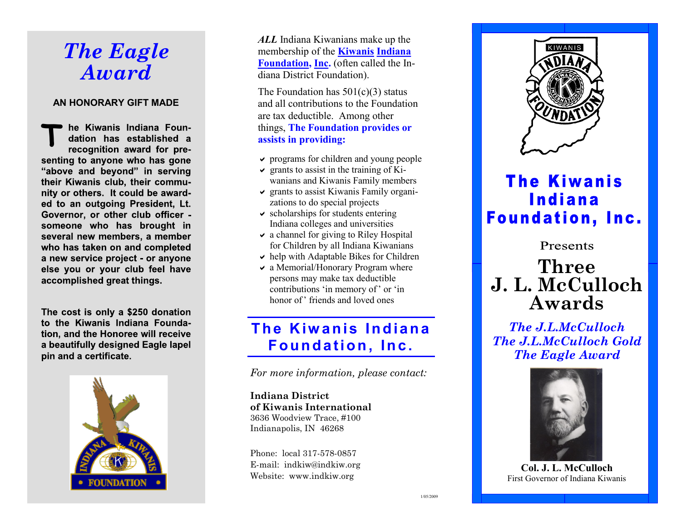# *The Eagle Award*

#### **AN HONORARY GIFT MADE**

**T**he Kiwanis Indiana Foundation has established a recognition award for presenting to anyone who has gone "above and beyond" in serving their Kiwanis club, their community or others. It could be awarded to an outgoing President, Lt. Governor, or other club officer someone who has brought in several new members, a member who has taken on and completed a new service project - or anyone else you or your club feel have accomplished great things.

The cost is only a \$250 donation to the Kiwanis Indiana Foundation, and the Honoree will receive a beautifully designed Eagle lapel pin and a certificate.



*ALL* Indiana Kiwanians make up the membership of the **Kiwanis Indiana Foundation, Inc.** (often called the Indiana District Foundation).

The Foundation has  $501(c)(3)$  status and all contributions to the Foundation are tax deductible. Among other things, **The Foundation provides or assists in providing:**

- $\vee$  programs for children and young people
- $\vee$  grants to assist in the training of Kiwanians and Kiwanis Family members
- $\vee$  grants to assist Kiwanis Family organizations to do special projects
- $\vee$  scholarships for students entering Indiana colleges and universities
- $\vee$  a channel for giving to Riley Hospital for Children by all Indiana Kiwanians
- $\triangleright$  help with Adaptable Bikes for Children
- $\vee$  a Memorial/Honorary Program where persons may make tax deductible contributions 'in memory of' or 'in honor of' friends and loved ones

### **The Kiwanis Indiana F o u n d a tio n , In c .**

*For more information, please contact:*

**Indiana District of Kiwanis International** 3636 Woodview Trace, #100 Indianapolis, IN 46268

Phone: local 317-578-0857 E-mail: indkiw@indkiw.org Website: www.indkiw.org



## **The Kiwanis Indiana Foundation, Inc.**

Presents

## **Three J. L. McCulloch Awards**

*The J.L.McCulloch The J.L.McCulloch Gold The Eagle Award*



**Col. J. L. McCulloch** First Governor of Indiana Kiwanis